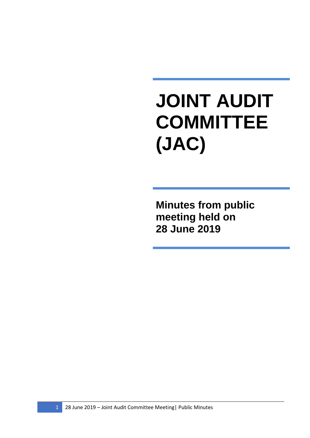## **JOINT AUDIT COMMITTEE (JAC)**

**Minutes from public meeting held on 28 June 2019**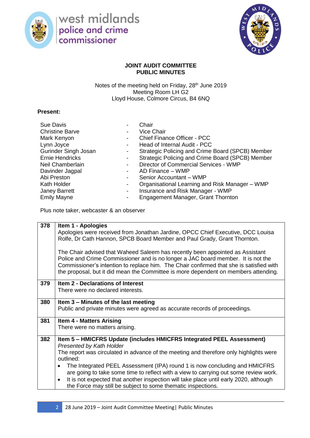

west midlands<br>police and crime commissioner



## **JOINT AUDIT COMMITTEE PUBLIC MINUTES**

Notes of the meeting held on Friday, 28<sup>th</sup> June 2019 Meeting Room LH G<sub>2</sub> Lloyd House, Colmore Circus, B4 6NQ

## **Present:**

| Sue Davis                   | Chair                                            |
|-----------------------------|--------------------------------------------------|
| <b>Christine Barve</b>      | <b>Vice Chair</b>                                |
| Mark Kenyon                 | <b>Chief Finance Officer - PCC</b>               |
| Lynn Joyce                  | Head of Internal Audit - PCC                     |
| <b>Gurinder Singh Josan</b> | Strategic Policing and Crime Board (SPCB) Member |
| <b>Ernie Hendricks</b>      | Strategic Policing and Crime Board (SPCB) Member |
| Neil Chamberlain            | Director of Commercial Services - WMP            |
| Davinder Jagpal             | AD Finance - WMP                                 |
| Abi Preston                 | Senior Accountant - WMP                          |
| Kath Holder                 | Organisational Learning and Risk Manager - WMP   |
| Janey Barrett               | Insurance and Risk Manager - WMP                 |
| <b>Emily Mayne</b>          | Engagement Manager, Grant Thornton               |

Plus note taker, webcaster & an observer

| 378 | Item 1 - Apologies                                                                                                                                                                                                                                                                                                                                    |
|-----|-------------------------------------------------------------------------------------------------------------------------------------------------------------------------------------------------------------------------------------------------------------------------------------------------------------------------------------------------------|
|     | Apologies were received from Jonathan Jardine, OPCC Chief Executive, DCC Louisa<br>Rolfe, Dr Cath Hannon, SPCB Board Member and Paul Grady, Grant Thornton.                                                                                                                                                                                           |
|     | The Chair advised that Waheed Saleem has recently been appointed as Assistant<br>Police and Crime Commissioner and is no longer a JAC board member. It is not the<br>Commissioner's intention to replace him. The Chair confirmed that she is satisfied with<br>the proposal, but it did mean the Committee is more dependent on members attending.   |
| 379 | Item 2 - Declarations of Interest<br>There were no declared interests.                                                                                                                                                                                                                                                                                |
| 380 | Item 3 – Minutes of the last meeting<br>Public and private minutes were agreed as accurate records of proceedings.                                                                                                                                                                                                                                    |
| 381 | <b>Item 4 - Matters Arising</b>                                                                                                                                                                                                                                                                                                                       |
|     | There were no matters arising.                                                                                                                                                                                                                                                                                                                        |
| 382 | Item 5 - HMICFRS Update (includes HMICFRS Integrated PEEL Assessment)                                                                                                                                                                                                                                                                                 |
|     | <b>Presented by Kath Holder</b>                                                                                                                                                                                                                                                                                                                       |
|     | The report was circulated in advance of the meeting and therefore only highlights were<br>outlined:                                                                                                                                                                                                                                                   |
|     | The Integrated PEEL Assessment (IPA) round 1 is now concluding and HMICFRS<br>$\bullet$<br>are going to take some time to reflect with a view to carrying out some review work.<br>It is not expected that another inspection will take place until early 2020, although<br>$\bullet$<br>the Force may still be subject to some thematic inspections. |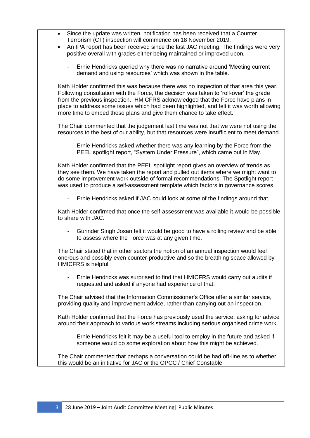| Since the update was written, notification has been received that a Counter<br>$\bullet$<br>Terrorism (CT) inspection will commence on 18 November 2019.  |
|-----------------------------------------------------------------------------------------------------------------------------------------------------------|
| An IPA report has been received since the last JAC meeting. The findings were very<br>$\bullet$                                                           |
| positive overall with grades either being maintained or improved upon.                                                                                    |
|                                                                                                                                                           |
| Ernie Hendricks queried why there was no narrative around 'Meeting current                                                                                |
| demand and using resources' which was shown in the table.                                                                                                 |
|                                                                                                                                                           |
| Kath Holder confirmed this was because there was no inspection of that area this year.                                                                    |
| Following consultation with the Force, the decision was taken to 'roll-over' the grade                                                                    |
| from the previous inspection. HMICFRS acknowledged that the Force have plans in                                                                           |
| place to address some issues which had been highlighted, and felt it was worth allowing                                                                   |
| more time to embed those plans and give them chance to take effect.                                                                                       |
| The Chair commented that the judgement last time was not that we were not using the                                                                       |
| resources to the best of our ability, but that resources were insufficient to meet demand.                                                                |
|                                                                                                                                                           |
| Ernie Hendricks asked whether there was any learning by the Force from the                                                                                |
| PEEL spotlight report, "System Under Pressure", which came out in May.                                                                                    |
|                                                                                                                                                           |
| Kath Holder confirmed that the PEEL spotlight report gives an overview of trends as                                                                       |
| they see them. We have taken the report and pulled out items where we might want to                                                                       |
| do some improvement work outside of formal recommendations. The Spotlight report                                                                          |
| was used to produce a self-assessment template which factors in governance scores.                                                                        |
| Ernie Hendricks asked if JAC could look at some of the findings around that.                                                                              |
|                                                                                                                                                           |
| Kath Holder confirmed that once the self-assessment was available it would be possible                                                                    |
| to share with JAC.                                                                                                                                        |
|                                                                                                                                                           |
| Gurinder Singh Josan felt it would be good to have a rolling review and be able                                                                           |
| to assess where the Force was at any given time.                                                                                                          |
| The Chair stated that in other sectors the notion of an annual inspection would feel                                                                      |
| onerous and possibly even counter-productive and so the breathing space allowed by                                                                        |
| HMICFRS is helpful.                                                                                                                                       |
|                                                                                                                                                           |
| Ernie Hendricks was surprised to find that HMICFRS would carry out audits if                                                                              |
| requested and asked if anyone had experience of that.                                                                                                     |
|                                                                                                                                                           |
| The Chair advised that the Information Commissioner's Office offer a similar service,                                                                     |
| providing quality and improvement advice, rather than carrying out an inspection.                                                                         |
| Kath Holder confirmed that the Force has previously used the service, asking for advice                                                                   |
| around their approach to various work streams including serious organised crime work.                                                                     |
|                                                                                                                                                           |
| Ernie Hendricks felt it may be a useful tool to employ in the future and asked if                                                                         |
| someone would do some exploration about how this might be achieved.                                                                                       |
|                                                                                                                                                           |
| The Chair commented that perhaps a conversation could be had off-line as to whether<br>this would be an initiative for JAC or the OPCC / Chief Constable. |
|                                                                                                                                                           |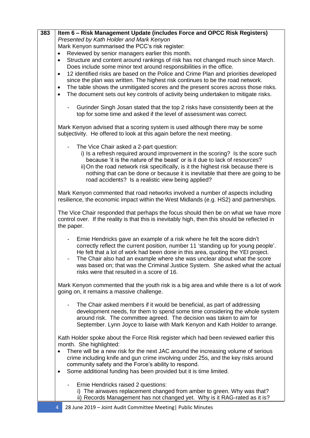| 383 | Item 6 – Risk Management Update (includes Force and OPCC Risk Registers)                         |
|-----|--------------------------------------------------------------------------------------------------|
|     | Presented by Kath Holder and Mark Kenyon                                                         |
|     | Mark Kenyon summarised the PCC's risk register:                                                  |
|     | Reviewed by senior managers earlier this month.<br>$\bullet$                                     |
|     | Structure and content around rankings of risk has not changed much since March.<br>$\bullet$     |
|     | Does include some minor text around responsibilities in the office.                              |
|     | 12 identified risks are based on the Police and Crime Plan and priorities developed<br>$\bullet$ |
|     | since the plan was written. The highest risk continues to be the road network.                   |
|     | The table shows the unmitigated scores and the present scores across those risks.<br>$\bullet$   |
|     | The document sets out key controls of activity being undertaken to mitigate risks.<br>$\bullet$  |
|     |                                                                                                  |
|     | Gurinder Singh Josan stated that the top 2 risks have consistently been at the                   |
|     | top for some time and asked if the level of assessment was correct.                              |
|     |                                                                                                  |
|     | Mark Kenyon advised that a scoring system is used although there may be some                     |
|     | subjectivity. He offered to look at this again before the next meeting.                          |
|     | The Vice Chair asked a 2-part question:                                                          |
|     | i) Is a refresh required around improvement in the scoring? Is the score such                    |
|     | because 'it is the nature of the beast' or is it due to lack of resources?                       |
|     | ii) On the road network risk specifically, is it the highest risk because there is               |
|     | nothing that can be done or because it is inevitable that there are going to be                  |
|     | road accidents? Is a realistic view being applied?                                               |
|     |                                                                                                  |
|     | Mark Kenyon commented that road networks involved a number of aspects including                  |
|     | resilience, the economic impact within the West Midlands (e.g. HS2) and partnerships.            |
|     |                                                                                                  |
|     | The Vice Chair responded that perhaps the focus should then be on what we have more              |
|     | control over. If the reality is that this is inevitably high, then this should be reflected in   |
|     | the paper.                                                                                       |
|     | Ernie Hendricks gave an example of a risk where he felt the score didn't                         |
|     | correctly reflect the current position, number 11 'standing up for young people'.                |
|     | He felt that a lot of work had been done in this area, quoting the YEI project.                  |
|     | The Chair also had an example where she was unclear about what the score                         |
|     | was based on; that was the Criminal Justice System. She asked what the actual                    |
|     | risks were that resulted in a score of 16.                                                       |
|     |                                                                                                  |
|     | Mark Kenyon commented that the youth risk is a big area and while there is a lot of work         |
|     | going on, it remains a massive challenge.                                                        |
|     |                                                                                                  |
|     | The Chair asked members if it would be beneficial, as part of addressing                         |
|     | development needs, for them to spend some time considering the whole system                      |
|     | around risk. The committee agreed. The decision was taken to aim for                             |
|     | September. Lynn Joyce to liaise with Mark Kenyon and Kath Holder to arrange.                     |
|     | Kath Holder spoke about the Force Risk register which had been reviewed earlier this             |
|     | month. She highlighted:                                                                          |
|     | There will be a new risk for the next JAC around the increasing volume of serious<br>$\bullet$   |
|     | crime including knife and gun crime involving under 25s, and the key risks around                |
|     | community safety and the Force's ability to respond.                                             |
|     | Some additional funding has been provided but it is time limited.<br>$\bullet$                   |
|     |                                                                                                  |
|     | Ernie Hendricks raised 2 questions:<br>$\overline{\phantom{a}}$                                  |
|     | i) The airwaves replacement changed from amber to green. Why was that?                           |
|     | ii) Records Management has not changed yet. Why is it RAG-rated as it is?                        |
|     | 28 June 2019 - Joint Audit Committee Meeting   Public Minutes<br>4                               |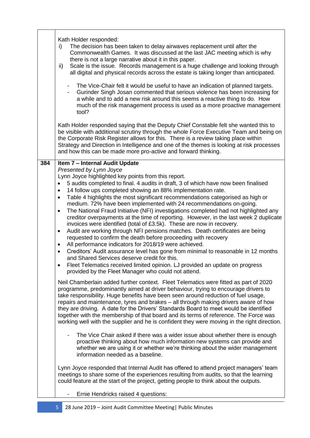|     | Kath Holder responded:<br>The decision has been taken to delay airwaves replacement until after the<br>i)<br>Commonwealth Games. It was discussed at the last JAC meeting which is why<br>there is not a large narrative about it in this paper.<br>Scale is the issue. Records management is a huge challenge and looking through<br>ii)<br>all digital and physical records across the estate is taking longer than anticipated.<br>The Vice-Chair felt it would be useful to have an indication of planned targets.<br>$\overline{\phantom{a}}$<br>Gurinder Singh Josan commented that serious violence has been increasing for<br>a while and to add a new risk around this seems a reactive thing to do. How<br>much of the risk management process is used as a more proactive management<br>tool?<br>Kath Holder responded saying that the Deputy Chief Constable felt she wanted this to<br>be visible with additional scrutiny through the whole Force Executive Team and being on<br>the Corporate Risk Register allows for this. There is a review taking place within<br>Strategy and Direction in Intelligence and one of the themes is looking at risk processes<br>and how this can be made more pro-active and forward thinking.                                                                                                                                                                                                                                                                                                                                                                                                                                                                                                                                                                                                                                                                                                                                                                                                                                                                                                                                                                                                                                                                                                                                                                                                                                             |
|-----|----------------------------------------------------------------------------------------------------------------------------------------------------------------------------------------------------------------------------------------------------------------------------------------------------------------------------------------------------------------------------------------------------------------------------------------------------------------------------------------------------------------------------------------------------------------------------------------------------------------------------------------------------------------------------------------------------------------------------------------------------------------------------------------------------------------------------------------------------------------------------------------------------------------------------------------------------------------------------------------------------------------------------------------------------------------------------------------------------------------------------------------------------------------------------------------------------------------------------------------------------------------------------------------------------------------------------------------------------------------------------------------------------------------------------------------------------------------------------------------------------------------------------------------------------------------------------------------------------------------------------------------------------------------------------------------------------------------------------------------------------------------------------------------------------------------------------------------------------------------------------------------------------------------------------------------------------------------------------------------------------------------------------------------------------------------------------------------------------------------------------------------------------------------------------------------------------------------------------------------------------------------------------------------------------------------------------------------------------------------------------------------------------------------------------------------------------------------------------------------------|
| 384 | Item 7 - Internal Audit Update<br>Presented by Lynn Joyce<br>Lynn Joyce highlighted key points from this report.<br>5 audits completed to final. 4 audits in draft, 3 of which have now been finalised<br>14 follow ups completed showing an 88% implementation rate.<br>Table 4 highlights the most significant recommendations categorised as high or<br>$\bullet$<br>medium. 72% have been implemented with 24 recommendations on-going.<br>The National Fraud Initiative (NFI) investigations completed had not highlighted any<br>$\bullet$<br>creditor overpayments at the time of reporting. However, in the last week 2 duplicate<br>invoices were identified (total of £3.5k). These are now in recovery.<br>Audit are working through NFI pensions matches. Death certificates are being<br>٠<br>requested to confirm the death before proceeding with recovery<br>All performance indicators for 2018/19 were achieved.<br>٠<br>Creditors' Audit assurance level has gone from minimal to reasonable in 12 months<br>$\bullet$<br>and Shared Services deserve credit for this.<br>Fleet Telematics received limited opinion. LJ provided an update on progress<br>$\bullet$<br>provided by the Fleet Manager who could not attend.<br>Neil Chamberlain added further context. Fleet Telematics were fitted as part of 2020<br>programme, predominantly aimed at driver behaviour, trying to encourage drivers to<br>take responsibility. Huge benefits have been seen around reduction of fuel usage,<br>repairs and maintenance, tyres and brakes - all through making drivers aware of how<br>they are driving. A date for the Drivers' Standards Board to meet would be identified<br>together with the membership of that board and its terms of reference. The Force was<br>working well with the supplier and he is confident they were moving in the right direction.<br>The Vice Chair asked if there was a wider issue about whether there is enough<br>proactive thinking about how much information new systems can provide and<br>whether we are using it or whether we're thinking about the wider management<br>information needed as a baseline.<br>Lynn Joyce responded that Internal Audit has offered to attend project managers' team<br>meetings to share some of the experiences resulting from audits, so that the learning<br>could feature at the start of the project, getting people to think about the outputs.<br>Ernie Hendricks raised 4 questions: |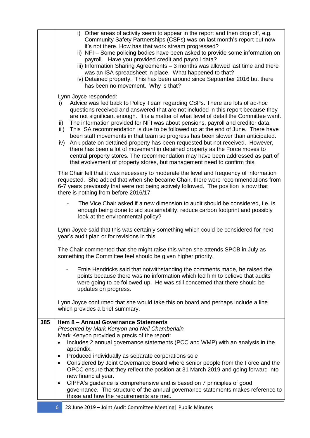|     | i) Other areas of activity seem to appear in the report and then drop off, e.g.<br>Community Safety Partnerships (CSPs) was on last month's report but now<br>it's not there. How has that work stream progressed?<br>ii) NFI - Some policing bodies have been asked to provide some information on<br>payroll. Have you provided credit and payroll data?<br>iii) Information Sharing Agreements - 3 months was allowed last time and there<br>was an ISA spreadsheet in place. What happened to that?<br>iv) Detained property. This has been around since September 2016 but there<br>has been no movement. Why is that?<br>Lynn Joyce responded:                                                                                                                                                                                                                         |
|-----|------------------------------------------------------------------------------------------------------------------------------------------------------------------------------------------------------------------------------------------------------------------------------------------------------------------------------------------------------------------------------------------------------------------------------------------------------------------------------------------------------------------------------------------------------------------------------------------------------------------------------------------------------------------------------------------------------------------------------------------------------------------------------------------------------------------------------------------------------------------------------|
|     | Advice was fed back to Policy Team regarding CSPs. There are lots of ad-hoc<br>i)<br>questions received and answered that are not included in this report because they<br>are not significant enough. It is a matter of what level of detail the Committee want.<br>The information provided for NFI was about pensions, payroll and creditor data.<br>ii)<br>This ISA recommendation is due to be followed up at the end of June. There have<br>iii)<br>been staff movements in that team so progress has been slower than anticipated.<br>An update on detained property has been requested but not received. However,<br>iv)<br>there has been a lot of movement in detained property as the Force moves to<br>central property stores. The recommendation may have been addressed as part of<br>that evolvement of property stores, but management need to confirm this. |
|     | The Chair felt that it was necessary to moderate the level and frequency of information<br>requested. She added that when she became Chair, there were recommendations from<br>6-7 years previously that were not being actively followed. The position is now that<br>there is nothing from before 2016/17.                                                                                                                                                                                                                                                                                                                                                                                                                                                                                                                                                                 |
|     | The Vice Chair asked if a new dimension to audit should be considered, i.e. is<br>enough being done to aid sustainability, reduce carbon footprint and possibly<br>look at the environmental policy?                                                                                                                                                                                                                                                                                                                                                                                                                                                                                                                                                                                                                                                                         |
|     | Lynn Joyce said that this was certainly something which could be considered for next<br>year's audit plan or for revisions in this.                                                                                                                                                                                                                                                                                                                                                                                                                                                                                                                                                                                                                                                                                                                                          |
|     | The Chair commented that she might raise this when she attends SPCB in July as<br>something the Committee feel should be given higher priority.                                                                                                                                                                                                                                                                                                                                                                                                                                                                                                                                                                                                                                                                                                                              |
|     | Ernie Hendricks said that notwithstanding the comments made, he raised the<br>points because there was no information which led him to believe that audits<br>were going to be followed up. He was still concerned that there should be<br>updates on progress.                                                                                                                                                                                                                                                                                                                                                                                                                                                                                                                                                                                                              |
|     | Lynn Joyce confirmed that she would take this on board and perhaps include a line<br>which provides a brief summary.                                                                                                                                                                                                                                                                                                                                                                                                                                                                                                                                                                                                                                                                                                                                                         |
| 385 | Item 8 - Annual Governance Statements                                                                                                                                                                                                                                                                                                                                                                                                                                                                                                                                                                                                                                                                                                                                                                                                                                        |
|     | Presented by Mark Kenyon and Neil Chamberlain<br>Mark Kenyon provided a precis of the report:                                                                                                                                                                                                                                                                                                                                                                                                                                                                                                                                                                                                                                                                                                                                                                                |
|     | Includes 2 annual governance statements (PCC and WMP) with an analysis in the<br>$\bullet$                                                                                                                                                                                                                                                                                                                                                                                                                                                                                                                                                                                                                                                                                                                                                                                   |
|     | appendix.<br>Produced individually as separate corporations sole<br>$\bullet$                                                                                                                                                                                                                                                                                                                                                                                                                                                                                                                                                                                                                                                                                                                                                                                                |
|     | Considered by Joint Governance Board where senior people from the Force and the<br>$\bullet$                                                                                                                                                                                                                                                                                                                                                                                                                                                                                                                                                                                                                                                                                                                                                                                 |
|     | OPCC ensure that they reflect the position at 31 March 2019 and going forward into<br>new financial year.                                                                                                                                                                                                                                                                                                                                                                                                                                                                                                                                                                                                                                                                                                                                                                    |
|     | CIPFA's guidance is comprehensive and is based on 7 principles of good<br>$\bullet$<br>governance. The structure of the annual governance statements makes reference to<br>those and how the requirements are met.                                                                                                                                                                                                                                                                                                                                                                                                                                                                                                                                                                                                                                                           |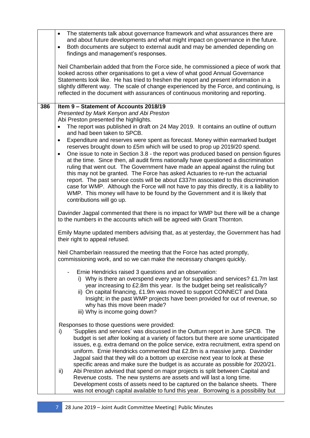|     | The statements talk about governance framework and what assurances there are<br>$\bullet$<br>and about future developments and what might impact on governance in the future.<br>Both documents are subject to external audit and may be amended depending on<br>$\bullet$<br>findings and management's responses.<br>Neil Chamberlain added that from the Force side, he commissioned a piece of work that<br>looked across other organisations to get a view of what good Annual Governance<br>Statements look like. He has tried to freshen the report and present information in a<br>slightly different way. The scale of change experienced by the Force, and continuing, is<br>reflected in the document with assurances of continuous monitoring and reporting.                                                                                                                                 |
|-----|---------------------------------------------------------------------------------------------------------------------------------------------------------------------------------------------------------------------------------------------------------------------------------------------------------------------------------------------------------------------------------------------------------------------------------------------------------------------------------------------------------------------------------------------------------------------------------------------------------------------------------------------------------------------------------------------------------------------------------------------------------------------------------------------------------------------------------------------------------------------------------------------------------|
|     |                                                                                                                                                                                                                                                                                                                                                                                                                                                                                                                                                                                                                                                                                                                                                                                                                                                                                                         |
| 386 | Item 9 - Statement of Accounts 2018/19<br>Presented by Mark Kenyon and Abi Preston                                                                                                                                                                                                                                                                                                                                                                                                                                                                                                                                                                                                                                                                                                                                                                                                                      |
|     | Abi Preston presented the highlights.                                                                                                                                                                                                                                                                                                                                                                                                                                                                                                                                                                                                                                                                                                                                                                                                                                                                   |
|     | The report was published in draft on 24 May 2019. It contains an outline of outturn<br>and had been taken to SPCB.                                                                                                                                                                                                                                                                                                                                                                                                                                                                                                                                                                                                                                                                                                                                                                                      |
|     | Expenditure and reserves were spent as forecast. Money within earmarked budget<br>$\bullet$<br>reserves brought down to £5m which will be used to prop up 2019/20 spend.<br>One issue to note in Section 3.8 - the report was produced based on pension figures<br>٠<br>at the time. Since then, all audit firms nationally have questioned a discrimination<br>ruling that went out. The Government have made an appeal against the ruling but<br>this may not be granted. The Force has asked Actuaries to re-run the actuarial<br>report. The past service costs will be about £337m associated to this discrimination<br>case for WMP. Although the Force will not have to pay this directly, it is a liability to<br>WMP. This money will have to be found by the Government and it is likely that<br>contributions will go up.                                                                    |
|     | Davinder Jagpal commented that there is no impact for WMP but there will be a change<br>to the numbers in the accounts which will be agreed with Grant Thornton.                                                                                                                                                                                                                                                                                                                                                                                                                                                                                                                                                                                                                                                                                                                                        |
|     | Emily Mayne updated members advising that, as at yesterday, the Government has had<br>their right to appeal refused.                                                                                                                                                                                                                                                                                                                                                                                                                                                                                                                                                                                                                                                                                                                                                                                    |
|     | Neil Chamberlain reassured the meeting that the Force has acted promptly,<br>commissioning work, and so we can make the necessary changes quickly.                                                                                                                                                                                                                                                                                                                                                                                                                                                                                                                                                                                                                                                                                                                                                      |
|     | Ernie Hendricks raised 3 questions and an observation:<br>i) Why is there an overspend every year for supplies and services? £1.7m last<br>year increasing to £2.8m this year. Is the budget being set realistically?<br>ii) On capital financing, £1.9m was moved to support CONNECT and Data<br>Insight; in the past WMP projects have been provided for out of revenue, so<br>why has this move been made?<br>iii) Why is income going down?                                                                                                                                                                                                                                                                                                                                                                                                                                                         |
|     | Responses to those questions were provided:<br>'Supplies and services' was discussed in the Outturn report in June SPCB. The<br>i)<br>budget is set after looking at a variety of factors but there are some unanticipated<br>issues, e.g. extra demand on the police service, extra recruitment, extra spend on<br>uniform. Ernie Hendricks commented that £2.8m is a massive jump. Davinder<br>Jagpal said that they will do a bottom up exercise next year to look at these<br>specific areas and make sure the budget is as accurate as possible for 2020/21.<br>Abi Preston advised that spend on major projects is split between Capital and<br>ii)<br>Revenue costs. The new systems are assets and will last a long time.<br>Development costs of assets need to be captured on the balance sheets. There<br>was not enough capital available to fund this year. Borrowing is a possibility but |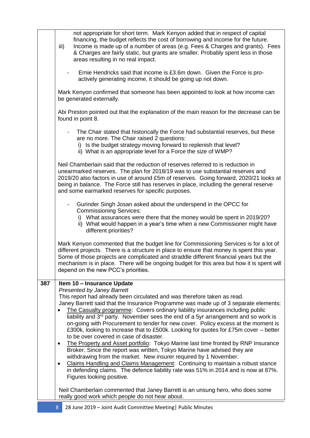|     | not appropriate for short term. Mark Kenyon added that in respect of capital<br>financing, the budget reflects the cost of borrowing and income for the future.<br>Income is made up of a number of areas (e.g. Fees & Charges and grants). Fees<br>iii)<br>& Charges are fairly static, but grants are smaller. Probably spent less in those<br>areas resulting in no real impact.                                                                                                                                                                                                                                                                                                                                                                                                                                                                                                                                                                                                                                                                                                                      |
|-----|----------------------------------------------------------------------------------------------------------------------------------------------------------------------------------------------------------------------------------------------------------------------------------------------------------------------------------------------------------------------------------------------------------------------------------------------------------------------------------------------------------------------------------------------------------------------------------------------------------------------------------------------------------------------------------------------------------------------------------------------------------------------------------------------------------------------------------------------------------------------------------------------------------------------------------------------------------------------------------------------------------------------------------------------------------------------------------------------------------|
|     | Ernie Hendricks said that income is £3.6m down. Given the Force is pro-<br>actively generating income, it should be going up not down.                                                                                                                                                                                                                                                                                                                                                                                                                                                                                                                                                                                                                                                                                                                                                                                                                                                                                                                                                                   |
|     | Mark Kenyon confirmed that someone has been appointed to look at how income can<br>be generated externally.                                                                                                                                                                                                                                                                                                                                                                                                                                                                                                                                                                                                                                                                                                                                                                                                                                                                                                                                                                                              |
|     | Abi Preston pointed out that the explanation of the main reason for the decrease can be<br>found in point 8.                                                                                                                                                                                                                                                                                                                                                                                                                                                                                                                                                                                                                                                                                                                                                                                                                                                                                                                                                                                             |
|     | The Chair stated that historically the Force had substantial reserves, but these<br>are no more. The Chair raised 2 questions:<br>i) Is the budget strategy moving forward to replenish that level?<br>ii) What is an appropriate level for a Force the size of WMP?                                                                                                                                                                                                                                                                                                                                                                                                                                                                                                                                                                                                                                                                                                                                                                                                                                     |
|     | Neil Chamberlain said that the reduction of reserves referred to is reduction in<br>unearmarked reserves. The plan for 2018/19 was to use substantial reserves and<br>2019/20 also factors in use of around £5m of reserves. Going forward, 2020/21 looks at<br>being in balance. The Force still has reserves in place, including the general reserve<br>and some earmarked reserves for specific purposes.                                                                                                                                                                                                                                                                                                                                                                                                                                                                                                                                                                                                                                                                                             |
|     | Gurinder Singh Josan asked about the underspend in the OPCC for<br><b>Commissioning Services:</b><br>i) What assurances were there that the money would be spent in 2019/20?<br>ii) What would happen in a year's time when a new Commissioner might have<br>different priorities?                                                                                                                                                                                                                                                                                                                                                                                                                                                                                                                                                                                                                                                                                                                                                                                                                       |
|     | Mark Kenyon commented that the budget line for Commissioning Services is for a lot of<br>different projects. There is a structure in place to ensure that money is spent this year.<br>Some of those projects are complicated and straddle different financial years but the<br>mechanism is in place. There will be ongoing budget for this area but how it is spent will<br>depend on the new PCC's priorities.                                                                                                                                                                                                                                                                                                                                                                                                                                                                                                                                                                                                                                                                                        |
| 387 | Item 10 - Insurance Update<br><b>Presented by Janey Barrett</b><br>This report had already been circulated and was therefore taken as read.<br>Janey Barrett said that the Insurance Programme was made up of 3 separate elements:<br>The Casualty programme: Covers ordinary liability insurances including public<br>liability and 3 <sup>rd</sup> party. November sees the end of a 5yr arrangement and so work is<br>on-going with Procurement to tender for new cover. Policy excess at the moment is<br>£300k, looking to increase that to £500k. Looking for quotes for £75m cover – better<br>to be over covered in case of disaster.<br>The Property and Asset portfolio: Tokyo Marine last time fronted by RNP Insurance<br>٠<br>Broker. Since the report was written, Tokyo Marine have advised they are<br>withdrawing from the market. New insurer required by 1 November.<br>Claims Handling and Claims Management: Continuing to maintain a robust stance<br>$\bullet$<br>in defending claims. The defence liability rate was 51% in 2014 and is now at 87%.<br>Figures looking positive. |
|     | Neil Chamberlain commented that Janey Barrett is an unsung hero, who does some<br>really good work which people do not hear about.                                                                                                                                                                                                                                                                                                                                                                                                                                                                                                                                                                                                                                                                                                                                                                                                                                                                                                                                                                       |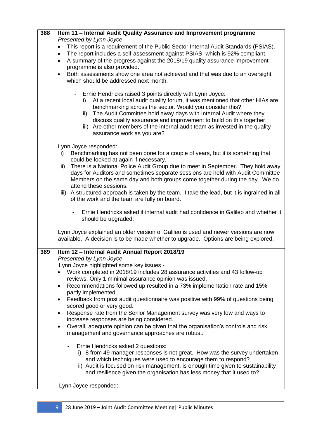| 388 | Item 11 - Internal Audit Quality Assurance and Improvement programme                                                                            |
|-----|-------------------------------------------------------------------------------------------------------------------------------------------------|
|     | Presented by Lynn Joyce<br>This report is a requirement of the Public Sector Internal Audit Standards (PSIAS).<br>$\bullet$                     |
|     | The report includes a self-assessment against PSIAS, which is 92% compliant.<br>$\bullet$                                                       |
|     | A summary of the progress against the 2018/19 quality assurance improvement<br>$\bullet$                                                        |
|     | programme is also provided.                                                                                                                     |
|     | Both assessments show one area not achieved and that was due to an oversight<br>$\bullet$<br>which should be addressed next month.              |
|     |                                                                                                                                                 |
|     | - Ernie Hendricks raised 3 points directly with Lynn Joyce:                                                                                     |
|     | At a recent local audit quality forum, it was mentioned that other HIAs are<br>i)                                                               |
|     | benchmarking across the sector. Would you consider this?<br>The Audit Committee hold away days with Internal Audit where they<br>ii)            |
|     | discuss quality assurance and improvement to build on this together.                                                                            |
|     | iii) Are other members of the internal audit team as invested in the quality                                                                    |
|     | assurance work as you are?                                                                                                                      |
|     | Lynn Joyce responded:                                                                                                                           |
|     | Benchmarking has not been done for a couple of years, but it is something that<br>i)                                                            |
|     | could be looked at again if necessary.<br>There is a National Police Audit Group due to meet in September. They hold away                       |
|     | ii)<br>days for Auditors and sometimes separate sessions are held with Audit Committee                                                          |
|     | Members on the same day and both groups come together during the day. We do                                                                     |
|     | attend these sessions.                                                                                                                          |
|     | iii) A structured approach is taken by the team. I take the lead, but it is ingrained in all<br>of the work and the team are fully on board.    |
|     |                                                                                                                                                 |
|     | Ernie Hendricks asked if internal audit had confidence in Galileo and whether it                                                                |
|     | should be upgraded.                                                                                                                             |
|     | Lynn Joyce explained an older version of Galileo is used and newer versions are now                                                             |
|     | available. A decision is to be made whether to upgrade. Options are being explored.                                                             |
| 389 | Item 12 - Internal Audit Annual Report 2018/19                                                                                                  |
|     | Presented by Lynn Joyce<br>Lynn Joyce highlighted some key issues -                                                                             |
|     | Work completed in 2018/19 includes 28 assurance activities and 43 follow-up                                                                     |
|     | reviews. Only 1 minimal assurance opinion was issued.                                                                                           |
|     | Recommendations followed up resulted in a 73% implementation rate and 15%<br>٠                                                                  |
|     | partly implemented.<br>Feedback from post audit questionnaire was positive with 99% of questions being                                          |
|     | $\bullet$<br>scored good or very good.                                                                                                          |
|     | Response rate from the Senior Management survey was very low and ways to<br>$\bullet$                                                           |
|     | increase responses are being considered.                                                                                                        |
|     | Overall, adequate opinion can be given that the organisation's controls and risk<br>$\bullet$                                                   |
|     | management and governance approaches are robust.                                                                                                |
|     | Ernie Hendricks asked 2 questions:<br>$\overline{\phantom{a}}$                                                                                  |
|     | i) 8 from 49 manager responses is not great. How was the survey undertaken                                                                      |
|     | and which techniques were used to encourage them to respond?<br>ii) Audit is focused on risk management, is enough time given to sustainability |
|     | and resilience given the organisation has less money that it used to?                                                                           |
|     | Lynn Joyce responded:                                                                                                                           |
|     |                                                                                                                                                 |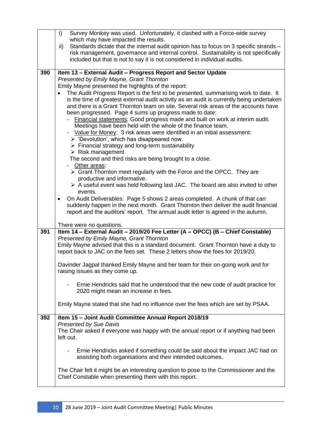|            | Survey Monkey was used. Unfortunately, it clashed with a Force-wide survey<br>i)<br>which may have impacted the results.<br>Standards dictate that the internal audit opinion has to focus on 3 specific strands -<br>ii)<br>risk management, governance and internal control. Sustainability is not specifically<br>included but that is not to say it is not considered in individual audits.                                                                                                                                                                                                                                                                                                                                                                                                                                                                                                                                                                                                                                                                                                                                                                                                                                                                                                                                                                                                                                                                                                                                             |
|------------|---------------------------------------------------------------------------------------------------------------------------------------------------------------------------------------------------------------------------------------------------------------------------------------------------------------------------------------------------------------------------------------------------------------------------------------------------------------------------------------------------------------------------------------------------------------------------------------------------------------------------------------------------------------------------------------------------------------------------------------------------------------------------------------------------------------------------------------------------------------------------------------------------------------------------------------------------------------------------------------------------------------------------------------------------------------------------------------------------------------------------------------------------------------------------------------------------------------------------------------------------------------------------------------------------------------------------------------------------------------------------------------------------------------------------------------------------------------------------------------------------------------------------------------------|
| 390        | Item 13 - External Audit - Progress Report and Sector Update<br>Presented by Emily Mayne, Grant Thornton<br>Emily Mayne presented the highlights of the report:<br>The Audit Progress Report is the first to be presented, summarising work to date. It<br>$\bullet$<br>is the time of greatest external audit activity as an audit is currently being undertaken<br>and there is a Grant Thornton team on site. Several risk areas of the accounts have<br>been progressed. Page 4 sums up progress made to date:<br>- Financial statements: Good progress made and built on work at interim audit.<br>Meetings have been held with the whole of the finance team.<br>- Value for Money: 3 risk areas were identified in an initial assessment:<br>$\triangleright$ 'Devolution', which has disappeared now.<br>$\triangleright$ Financial strategy and long-term sustainability<br>$\triangleright$ Risk management<br>The second and third risks are being brought to a close.<br>- Other areas:<br>$\triangleright$ Grant Thornton meet regularly with the Force and the OPCC. They are<br>productive and informative.<br>$\triangleright$ A useful event was held following last JAC. The board are also invited to other<br>events.<br>On Audit Deliverables: Page 5 shows 2 areas completed. A chunk of that can<br>$\bullet$<br>suddenly happen in the next month. Grant Thornton then deliver the audit financial<br>report and the auditors' report. The annual audit letter is agreed in the autumn.<br>There were no questions. |
| 391<br>392 | Item 14 - External Audit - 2019/20 Fee Letter (A - OPCC) (B - Chief Constable)<br>Presented by Emily Mayne, Grant Thornton<br>Emily Mayne advised that this is a standard document. Grant Thornton have a duty to<br>report back to JAC on the fees set. These 2 letters show the fees for 2019/20.<br>Davinder Jagpal thanked Emily Mayne and her team for their on-going work and for<br>raising issues as they come up.<br>Ernie Hendricks said that he understood that the new code of audit practice for<br>2020 might mean an increase in fees.<br>Emily Mayne stated that she had no influence over the fees which are set by PSAA.<br>Item 15 - Joint Audit Committee Annual Report 2018/19<br>Presented by Sue Davis<br>The Chair asked if everyone was happy with the annual report or if anything had been<br>left out.                                                                                                                                                                                                                                                                                                                                                                                                                                                                                                                                                                                                                                                                                                          |
|            | Ernie Hendricks asked if something could be said about the impact JAC had on<br>$\overline{\phantom{a}}$<br>assisting both organisations and their intended outcomes.<br>The Chair felt it might be an interesting question to pose to the Commissioner and the<br>Chief Constable when presenting them with this report.                                                                                                                                                                                                                                                                                                                                                                                                                                                                                                                                                                                                                                                                                                                                                                                                                                                                                                                                                                                                                                                                                                                                                                                                                   |